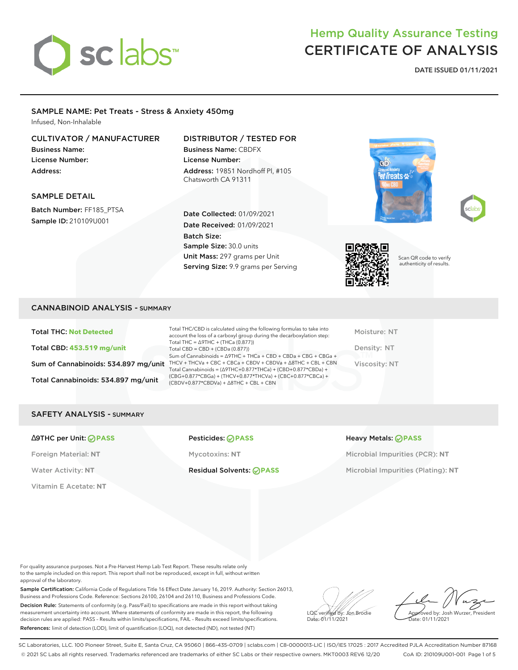

### Hemp Quality Assurance Testing CERTIFICATE OF ANALYSIS

**DATE ISSUED 01/11/2021**

#### SAMPLE NAME: Pet Treats - Stress & Anxiety 450mg

Infused, Non-Inhalable

#### CULTIVATOR / MANUFACTURER

Business Name: License Number: Address:

SAMPLE DETAIL

#### DISTRIBUTOR / TESTED FOR

Business Name: CBDFX License Number: Address: 19851 Nordhoff Pl, #105 Chatsworth CA 91311

Date Collected: 01/09/2021 Date Received: 01/09/2021

Sample Size: 30.0 units Unit Mass: 297 grams per Unit Serving Size: 9.9 grams per Serving

Batch Size:

# t Treats ‰





Scan QR code to verify authenticity of results.

Batch Number: FF185\_PTSA Sample ID: 210109U001

#### CANNABINOID ANALYSIS - SUMMARY

Total THC: **Not Detected** Total CBD: **453.519 mg/unit** Total Cannabinoids: 534.897 mg/unit

Sum of Cannabinoids: 534.897 mg/unit THCV + THCVa + CBC + CBCa + CBDV + CBDVa +  $\triangle$ 8THC + CBL + CBN Total THC/CBD is calculated using the following formulas to take into account the loss of a carboxyl group during the decarboxylation step: Total THC = ∆9THC + (THCa (0.877)) Total CBD = CBD + (CBDa (0.877)) Sum of Cannabinoids = ∆9THC + THCa + CBD + CBDa + CBG + CBGa + Total Cannabinoids = (∆9THC+0.877\*THCa) + (CBD+0.877\*CBDa) + (CBG+0.877\*CBGa) + (THCV+0.877\*THCVa) + (CBC+0.877\*CBCa) + (CBDV+0.877\*CBDVa) + ∆8THC + CBL + CBN

Moisture: NT Density: NT Viscosity: NT

#### SAFETY ANALYSIS - SUMMARY

#### ∆9THC per Unit: **PASS** Pesticides: **PASS** Heavy Metals: **PASS**

Vitamin E Acetate: **NT**

Foreign Material: **NT** Mycotoxins: **NT** Microbial Impurities (PCR): **NT**

Water Activity: NT **Residual Solvents: PASS** Microbial Impurities (Plating): NT

For quality assurance purposes. Not a Pre-Harvest Hemp Lab Test Report. These results relate only to the sample included on this report. This report shall not be reproduced, except in full, without written approval of the laboratory.

Sample Certification: California Code of Regulations Title 16 Effect Date January 16, 2019. Authority: Section 26013, Business and Professions Code. Reference: Sections 26100, 26104 and 26110, Business and Professions Code. Decision Rule: Statements of conformity (e.g. Pass/Fail) to specifications are made in this report without taking measurement uncertainty into account. Where statements of conformity are made in this report, the following decision rules are applied: PASS – Results within limits/specifications, FAIL – Results exceed limits/specifications. References: limit of detection (LOD), limit of quantification (LOQ), not detected (ND), not tested (NT)

LQC verified by: Jon Brodie Date: 01/11/2021

Approved by: Josh Wurzer, President ate: 01/11/2021

SC Laboratories, LLC. 100 Pioneer Street, Suite E, Santa Cruz, CA 95060 | 866-435-0709 | sclabs.com | C8-0000013-LIC | ISO/IES 17025 : 2017 Accredited PJLA Accreditation Number 87168 © 2021 SC Labs all rights reserved. Trademarks referenced are trademarks of either SC Labs or their respective owners. MKT0003 REV6 12/20 CoA ID: 210109U001-001 Page 1 of 5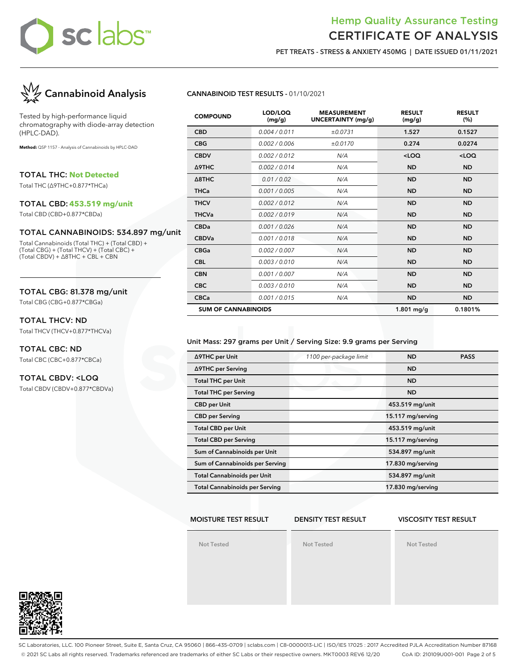#### Hemp Quality Assurance Testing CERTIFICATE OF ANALYSIS

**PET TREATS - STRESS & ANXIETY 450MG | DATE ISSUED 01/11/2021**



Tested by high-performance liquid chromatography with diode-array detection (HPLC-DAD).

**Method:** QSP 1157 - Analysis of Cannabinoids by HPLC-DAD

TOTAL THC: **Not Detected**

Total THC (∆9THC+0.877\*THCa)

#### TOTAL CBD: **453.519 mg/unit**

Total CBD (CBD+0.877\*CBDa)

#### TOTAL CANNABINOIDS: 534.897 mg/unit

Total Cannabinoids (Total THC) + (Total CBD) + (Total CBG) + (Total THCV) + (Total CBC) + (Total CBDV) + ∆8THC + CBL + CBN

#### TOTAL CBG: 81.378 mg/unit

Total CBG (CBG+0.877\*CBGa)

#### TOTAL THCV: ND

Total THCV (THCV+0.877\*THCVa)

#### TOTAL CBC: ND Total CBC (CBC+0.877\*CBCa)

#### TOTAL CBDV: <LOQ

Total CBDV (CBDV+0.877\*CBDVa)

#### **CANNABINOID TEST RESULTS -** 01/10/2021

| <b>COMPOUND</b>            | LOD/LOQ<br>(mg/g) | <b>MEASUREMENT</b><br><b>UNCERTAINTY (mg/g)</b> | <b>RESULT</b><br>(mg/g) | <b>RESULT</b><br>(%) |
|----------------------------|-------------------|-------------------------------------------------|-------------------------|----------------------|
| <b>CBD</b>                 | 0.004 / 0.011     | ±0.0731                                         | 1.527                   | 0.1527               |
| <b>CBG</b>                 | 0.002 / 0.006     | ±0.0170                                         | 0.274                   | 0.0274               |
| <b>CBDV</b>                | 0.002/0.012       | N/A                                             | $<$ LOQ                 | $<$ LOQ              |
| Δ9THC                      | 0.002/0.014       | N/A                                             | <b>ND</b>               | <b>ND</b>            |
| $\triangle$ 8THC           | 0.01 / 0.02       | N/A                                             | <b>ND</b>               | <b>ND</b>            |
| <b>THCa</b>                | 0.001 / 0.005     | N/A                                             | <b>ND</b>               | <b>ND</b>            |
| <b>THCV</b>                | 0.002 / 0.012     | N/A                                             | <b>ND</b>               | <b>ND</b>            |
| <b>THCVa</b>               | 0.002 / 0.019     | N/A                                             | <b>ND</b>               | <b>ND</b>            |
| <b>CBDa</b>                | 0.001 / 0.026     | N/A                                             | <b>ND</b>               | <b>ND</b>            |
| <b>CBDVa</b>               | 0.001/0.018       | N/A                                             | <b>ND</b>               | <b>ND</b>            |
| <b>CBGa</b>                | 0.002 / 0.007     | N/A                                             | <b>ND</b>               | <b>ND</b>            |
| <b>CBL</b>                 | 0.003/0.010       | N/A                                             | <b>ND</b>               | <b>ND</b>            |
| <b>CBN</b>                 | 0.001 / 0.007     | N/A                                             | <b>ND</b>               | <b>ND</b>            |
| <b>CBC</b>                 | 0.003/0.010       | N/A                                             | <b>ND</b>               | <b>ND</b>            |
| <b>CBCa</b>                | 0.001 / 0.015     | N/A                                             | <b>ND</b>               | <b>ND</b>            |
| <b>SUM OF CANNABINOIDS</b> |                   |                                                 | 1.801 mg/g              | 0.1801%              |

#### Unit Mass: 297 grams per Unit / Serving Size: 9.9 grams per Serving

| ∆9THC per Unit                        | 1100 per-package limit | <b>ND</b>         | <b>PASS</b> |
|---------------------------------------|------------------------|-------------------|-------------|
| ∆9THC per Serving                     |                        | <b>ND</b>         |             |
| <b>Total THC per Unit</b>             |                        | <b>ND</b>         |             |
| <b>Total THC per Serving</b>          |                        | <b>ND</b>         |             |
| <b>CBD</b> per Unit                   |                        | 453.519 mg/unit   |             |
| <b>CBD</b> per Serving                |                        | 15.117 mg/serving |             |
| <b>Total CBD per Unit</b>             |                        | 453.519 mg/unit   |             |
| <b>Total CBD per Serving</b>          |                        | 15.117 mg/serving |             |
| Sum of Cannabinoids per Unit          |                        | 534.897 mg/unit   |             |
| Sum of Cannabinoids per Serving       |                        | 17.830 mg/serving |             |
| <b>Total Cannabinoids per Unit</b>    |                        | 534.897 mg/unit   |             |
| <b>Total Cannabinoids per Serving</b> |                        | 17.830 mg/serving |             |

#### **MOISTURE TEST RESULT**

#### **DENSITY TEST RESULT**

#### **VISCOSITY TEST RESULT**

**Not Tested**

**Not Tested**

**Not Tested**



SC Laboratories, LLC. 100 Pioneer Street, Suite E, Santa Cruz, CA 95060 | 866-435-0709 | sclabs.com | C8-0000013-LIC | ISO/IES 17025 : 2017 Accredited PJLA Accreditation Number 87168 © 2021 SC Labs all rights reserved. Trademarks referenced are trademarks of either SC Labs or their respective owners. MKT0003 REV6 12/20 CoA ID: 210109U001-001 Page 2 of 5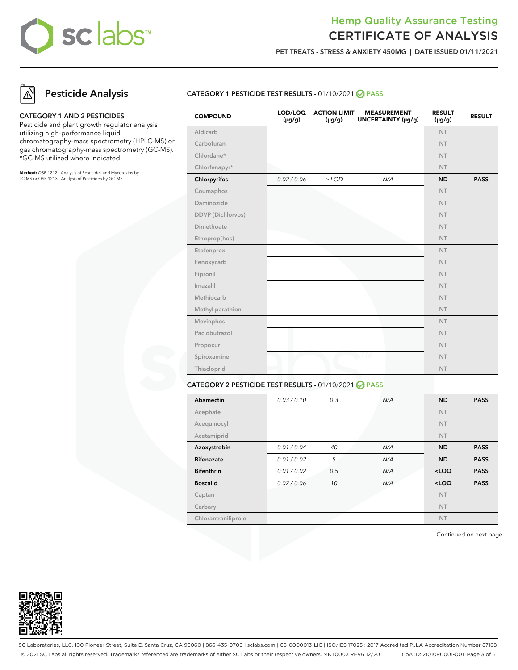### Hemp Quality Assurance Testing CERTIFICATE OF ANALYSIS

**PET TREATS - STRESS & ANXIETY 450MG | DATE ISSUED 01/11/2021**

### **Pesticide Analysis**

#### **CATEGORY 1 AND 2 PESTICIDES**

Pesticide and plant growth regulator analysis utilizing high-performance liquid chromatography-mass spectrometry (HPLC-MS) or gas chromatography-mass spectrometry (GC-MS). \*GC-MS utilized where indicated.

**Method:** QSP 1212 - Analysis of Pesticides and Mycotoxins by LC-MS or QSP 1213 - Analysis of Pesticides by GC-MS

#### **CATEGORY 1 PESTICIDE TEST RESULTS -** 01/10/2021 **PASS**

| <b>COMPOUND</b>   | LOD/LOQ<br>$(\mu g/g)$ | <b>ACTION LIMIT</b><br>$(\mu g/g)$ | <b>MEASUREMENT</b><br>UNCERTAINTY (µg/g) | <b>RESULT</b><br>$(\mu g/g)$ | <b>RESULT</b> |
|-------------------|------------------------|------------------------------------|------------------------------------------|------------------------------|---------------|
| Aldicarb          |                        |                                    |                                          | <b>NT</b>                    |               |
| Carbofuran        |                        |                                    |                                          | <b>NT</b>                    |               |
| Chlordane*        |                        |                                    |                                          | <b>NT</b>                    |               |
| Chlorfenapyr*     |                        |                                    |                                          | <b>NT</b>                    |               |
| Chlorpyrifos      | 0.02 / 0.06            | $\ge$ LOD                          | N/A                                      | <b>ND</b>                    | <b>PASS</b>   |
| Coumaphos         |                        |                                    |                                          | <b>NT</b>                    |               |
| Daminozide        |                        |                                    |                                          | NT.                          |               |
| DDVP (Dichlorvos) |                        |                                    |                                          | <b>NT</b>                    |               |
| Dimethoate        |                        |                                    |                                          | <b>NT</b>                    |               |
| Ethoprop(hos)     |                        |                                    |                                          | <b>NT</b>                    |               |
| Etofenprox        |                        |                                    |                                          | <b>NT</b>                    |               |
| Fenoxycarb        |                        |                                    |                                          | <b>NT</b>                    |               |
| Fipronil          |                        |                                    |                                          | <b>NT</b>                    |               |
| Imazalil          |                        |                                    |                                          | <b>NT</b>                    |               |
| Methiocarb        |                        |                                    |                                          | <b>NT</b>                    |               |
| Methyl parathion  |                        |                                    |                                          | <b>NT</b>                    |               |
| Mevinphos         |                        |                                    |                                          | <b>NT</b>                    |               |
| Paclobutrazol     |                        |                                    |                                          | NT.                          |               |
| Propoxur          |                        |                                    |                                          | <b>NT</b>                    |               |
| Spiroxamine       |                        |                                    | TМ                                       | <b>NT</b>                    |               |
| Thiacloprid       |                        |                                    |                                          | <b>NT</b>                    |               |
|                   |                        |                                    |                                          |                              |               |

#### **CATEGORY 2 PESTICIDE TEST RESULTS -** 01/10/2021 **PASS**

| Abamectin           | 0.03/0.10   | 0.3 | N/A | <b>ND</b> | <b>PASS</b> |
|---------------------|-------------|-----|-----|-----------|-------------|
| Acephate            |             |     |     | <b>NT</b> |             |
| Acequinocyl         |             |     |     | <b>NT</b> |             |
| Acetamiprid         |             |     |     | <b>NT</b> |             |
| Azoxystrobin        | 0.01 / 0.04 | 40  | N/A | <b>ND</b> | <b>PASS</b> |
| <b>Bifenazate</b>   | 0.01 / 0.02 | 5   | N/A | <b>ND</b> | <b>PASS</b> |
| <b>Bifenthrin</b>   | 0.01 / 0.02 | 0.5 | N/A | $<$ LOQ   | <b>PASS</b> |
| <b>Boscalid</b>     | 0.02 / 0.06 | 10  | N/A | $<$ LOQ   | <b>PASS</b> |
| Captan              |             |     |     | <b>NT</b> |             |
| Carbaryl            |             |     |     | <b>NT</b> |             |
| Chlorantraniliprole |             |     |     | <b>NT</b> |             |

Continued on next page



SC Laboratories, LLC. 100 Pioneer Street, Suite E, Santa Cruz, CA 95060 | 866-435-0709 | sclabs.com | C8-0000013-LIC | ISO/IES 17025 : 2017 Accredited PJLA Accreditation Number 87168 © 2021 SC Labs all rights reserved. Trademarks referenced are trademarks of either SC Labs or their respective owners. MKT0003 REV6 12/20 CoA ID: 210109U001-001 Page 3 of 5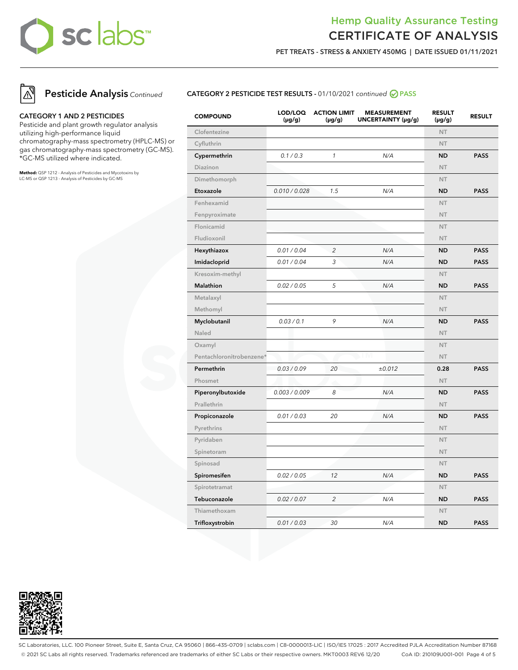#### Hemp Quality Assurance Testing CERTIFICATE OF ANALYSIS

**PET TREATS - STRESS & ANXIETY 450MG | DATE ISSUED 01/11/2021**



**Pesticide Analysis** Continued

#### **CATEGORY 1 AND 2 PESTICIDES**

Pesticide and plant growth regulator analysis utilizing high-performance liquid chromatography-mass spectrometry (HPLC-MS) or gas chromatography-mass spectrometry (GC-MS). \*GC-MS utilized where indicated.

**Method:** QSP 1212 - Analysis of Pesticides and Mycotoxins by LC-MS or QSP 1213 - Analysis of Pesticides by GC-MS

#### **CATEGORY 2 PESTICIDE TEST RESULTS -** 01/10/2021 continued **PASS**

| <b>COMPOUND</b>          | LOD/LOQ<br>$(\mu g/g)$ | <b>ACTION LIMIT</b><br>$(\mu g/g)$ | <b>MEASUREMENT</b><br>UNCERTAINTY (µg/g) | <b>RESULT</b><br>(µg/g) | <b>RESULT</b> |
|--------------------------|------------------------|------------------------------------|------------------------------------------|-------------------------|---------------|
| Clofentezine             |                        |                                    |                                          | NT.                     |               |
| Cyfluthrin               |                        |                                    |                                          | <b>NT</b>               |               |
| Cypermethrin             | 0.1 / 0.3              | $\mathbf{1}$                       | N/A                                      | <b>ND</b>               | <b>PASS</b>   |
| Diazinon                 |                        |                                    |                                          | <b>NT</b>               |               |
| Dimethomorph             |                        |                                    |                                          | <b>NT</b>               |               |
| Etoxazole                | 0.010 / 0.028          | 1.5                                | N/A                                      | <b>ND</b>               | <b>PASS</b>   |
| Fenhexamid               |                        |                                    |                                          | <b>NT</b>               |               |
| Fenpyroximate            |                        |                                    |                                          | <b>NT</b>               |               |
| Flonicamid               |                        |                                    |                                          | NT.                     |               |
| Fludioxonil              |                        |                                    |                                          | <b>NT</b>               |               |
| Hexythiazox              | 0.01 / 0.04            | $\overline{c}$                     | N/A                                      | <b>ND</b>               | <b>PASS</b>   |
| Imidacloprid             | 0.01 / 0.04            | 3                                  | N/A                                      | <b>ND</b>               | <b>PASS</b>   |
| Kresoxim-methyl          |                        |                                    |                                          | <b>NT</b>               |               |
| Malathion                | 0.02 / 0.05            | 5                                  | N/A                                      | <b>ND</b>               | <b>PASS</b>   |
| Metalaxyl                |                        |                                    |                                          | <b>NT</b>               |               |
| Methomyl                 |                        |                                    |                                          | <b>NT</b>               |               |
| Myclobutanil             | 0.03 / 0.1             | 9                                  | N/A                                      | <b>ND</b>               | <b>PASS</b>   |
| Naled                    |                        |                                    |                                          | <b>NT</b>               |               |
| Oxamyl                   |                        |                                    |                                          | <b>NT</b>               |               |
| Pentachloronitrobenzene* |                        |                                    | I M                                      | <b>NT</b>               |               |
| Permethrin               | 0.03 / 0.09            | 20                                 | ±0.012                                   | 0.28                    | <b>PASS</b>   |
| Phosmet                  |                        |                                    |                                          | <b>NT</b>               |               |
| Piperonylbutoxide        | 0.003 / 0.009          | 8                                  | N/A                                      | <b>ND</b>               | <b>PASS</b>   |
| Prallethrin              |                        |                                    |                                          | <b>NT</b>               |               |
| Propiconazole            | 0.01 / 0.03            | 20                                 | N/A                                      | <b>ND</b>               | <b>PASS</b>   |
| Pyrethrins               |                        |                                    |                                          | <b>NT</b>               |               |
| Pyridaben                |                        |                                    |                                          | <b>NT</b>               |               |
| Spinetoram               |                        |                                    |                                          | <b>NT</b>               |               |
| Spinosad                 |                        |                                    |                                          | <b>NT</b>               |               |
| Spiromesifen             | 0.02 / 0.05            | 12                                 | N/A                                      | <b>ND</b>               | <b>PASS</b>   |
| Spirotetramat            |                        |                                    |                                          | <b>NT</b>               |               |
| Tebuconazole             | 0.02 / 0.07            | $\overline{c}$                     | N/A                                      | <b>ND</b>               | <b>PASS</b>   |
| Thiamethoxam             |                        |                                    |                                          | <b>NT</b>               |               |
| Trifloxystrobin          | 0.01 / 0.03            | 30                                 | N/A                                      | <b>ND</b>               | <b>PASS</b>   |



SC Laboratories, LLC. 100 Pioneer Street, Suite E, Santa Cruz, CA 95060 | 866-435-0709 | sclabs.com | C8-0000013-LIC | ISO/IES 17025 : 2017 Accredited PJLA Accreditation Number 87168 © 2021 SC Labs all rights reserved. Trademarks referenced are trademarks of either SC Labs or their respective owners. MKT0003 REV6 12/20 CoA ID: 210109U001-001 Page 4 of 5